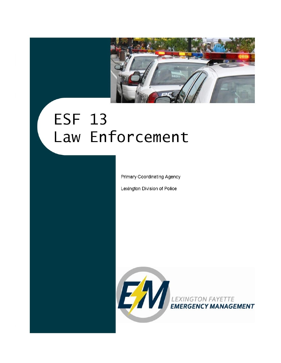

# **ESF 13** Law Enforcement

Primary Coordinating Agency

Lexington Division of Police

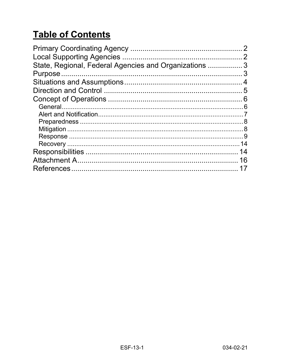# **Table of Contents**

| State, Regional, Federal Agencies and Organizations  3 |    |
|--------------------------------------------------------|----|
|                                                        |    |
|                                                        |    |
|                                                        |    |
|                                                        |    |
|                                                        |    |
|                                                        |    |
|                                                        |    |
|                                                        |    |
|                                                        |    |
|                                                        |    |
|                                                        | 14 |
|                                                        | 16 |
|                                                        |    |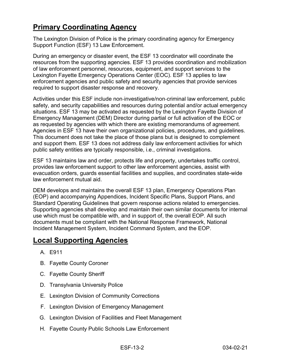## <span id="page-2-0"></span>**Primary Coordinating Agency**

The Lexington Division of Police is the primary coordinating agency for Emergency Support Function (ESF) 13 Law Enforcement.

During an emergency or disaster event, the ESF 13 coordinator will coordinate the resources from the supporting agencies. ESF 13 provides coordination and mobilization of law enforcement personnel, resources, equipment, and support services to the Lexington Fayette Emergency Operations Center (EOC). ESF 13 applies to law enforcement agencies and public safety and security agencies that provide services required to support disaster response and recovery.

Activities under this ESF include non‐investigative/non‐criminal law enforcement, public safety, and security capabilities and resources during potential and/or actual emergency situations. ESF 13 may be activated as requested by the Lexington Fayette Division of Emergency Management (DEM) Director during partial or full activation of the EOC or as requested by agencies with which there are existing memorandums of agreement. Agencies in ESF 13 have their own organizational policies, procedures, and guidelines. This document does not take the place of those plans but is designed to complement and support them. ESF 13 does not address daily law enforcement activities for which public safety entities are typically responsible, i.e., criminal investigations.

ESF 13 maintains law and order, protects life and property, undertakes traffic control, provides law enforcement support to other law enforcement agencies, assist with evacuation orders, guards essential facilities and supplies, and coordinates state-wide law enforcement mutual aid.

DEM develops and maintains the overall ESF 13 plan, Emergency Operations Plan (EOP) and accompanying Appendices, Incident Specific Plans, Support Plans, and Standard Operating Guidelines that govern response actions related to emergencies. Supporting agencies shall develop and maintain their own similar documents for internal use which must be compatible with, and in support of, the overall EOP. All such documents must be compliant with the National Response Framework, National Incident Management System, Incident Command System, and the EOP.

## <span id="page-2-1"></span>**Local Supporting Agencies**

- A. E911
- B. Fayette County Coroner
- C. Fayette County Sheriff
- D. Transylvania University Police
- E. Lexington Division of Community Corrections
- F. Lexington Division of Emergency Management
- G. Lexington Division of Facilities and Fleet Management
- H. Fayette County Public Schools Law Enforcement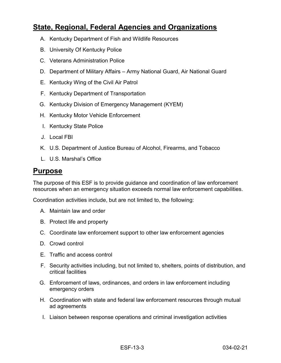## <span id="page-3-0"></span>**State, Regional, Federal Agencies and Organizations**

- A. Kentucky Department of Fish and Wildlife Resources
- B. University Of Kentucky Police
- C. Veterans Administration Police
- D. Department of Military Affairs Army National Guard, Air National Guard
- E. Kentucky Wing of the Civil Air Patrol
- F. Kentucky Department of Transportation
- G. Kentucky Division of Emergency Management (KYEM)
- H. Kentucky Motor Vehicle Enforcement
- I. Kentucky State Police
- J. Local FBI
- K. U.S. Department of Justice Bureau of Alcohol, Firearms, and Tobacco
- L. U.S. Marshal's Office

#### <span id="page-3-1"></span>**Purpose**

The purpose of this ESF is to provide guidance and coordination of law enforcement resources when an emergency situation exceeds normal law enforcement capabilities.

Coordination activities include, but are not limited to, the following:

- A. Maintain law and order
- B. Protect life and property
- C. Coordinate law enforcement support to other law enforcement agencies
- D. Crowd control
- E. Traffic and access control
- F. Security activities including, but not limited to, shelters, points of distribution, and critical facilities
- G. Enforcement of laws, ordinances, and orders in law enforcement including emergency orders
- H. Coordination with state and federal law enforcement resources through mutual ad agreements
- I. Liaison between response operations and criminal investigation activities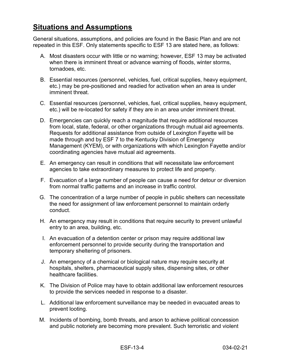## <span id="page-4-0"></span>**Situations and Assumptions**

General situations, assumptions, and policies are found in the Basic Plan and are not repeated in this ESF. Only statements specific to ESF 13 are stated here, as follows:

- A. Most disasters occur with little or no warning; however, ESF 13 may be activated when there is imminent threat or advance warning of floods, winter storms, tornadoes, etc.
- B. Essential resources (personnel, vehicles, fuel, critical supplies, heavy equipment, etc.) may be pre-positioned and readied for activation when an area is under imminent threat.
- C. Essential resources (personnel, vehicles, fuel, critical supplies, heavy equipment, etc.) will be re-located for safety if they are in an area under imminent threat.
- D. Emergencies can quickly reach a magnitude that require additional resources from local, state, federal, or other organizations through mutual aid agreements. Requests for additional assistance from outside of Lexington Fayette will be made through and by ESF 7 to the Kentucky Division of Emergency Management (KYEM), or with organizations with which Lexington Fayette and/or coordinating agencies have mutual aid agreements.
- E. An emergency can result in conditions that will necessitate law enforcement agencies to take extraordinary measures to protect life and property.
- F. Evacuation of a large number of people can cause a need for detour or diversion from normal traffic patterns and an increase in traffic control.
- G. The concentration of a large number of people in public shelters can necessitate the need for assignment of law enforcement personnel to maintain orderly conduct.
- H. An emergency may result in conditions that require security to prevent unlawful entry to an area, building, etc.
- I. An evacuation of a detention center or prison may require additional law enforcement personnel to provide security during the transportation and temporary sheltering of prisoners.
- J. An emergency of a chemical or biological nature may require security at hospitals, shelters, pharmaceutical supply sites, dispensing sites, or other healthcare facilities.
- K. The Division of Police may have to obtain additional law enforcement resources to provide the services needed in response to a disaster.
- L. Additional law enforcement surveillance may be needed in evacuated areas to prevent looting.
- M. Incidents of bombing, bomb threats, and arson to achieve political concession and public notoriety are becoming more prevalent. Such terroristic and violent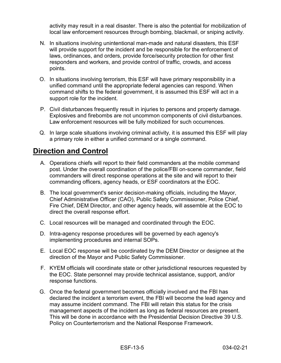activity may result in a real disaster. There is also the potential for mobilization of local law enforcement resources through bombing, blackmail, or sniping activity.

- N. In situations involving unintentional man-made and natural disasters, this ESF will provide support for the incident and be responsible for the enforcement of laws, ordinances, and orders, provide force/security protection for other first responders and workers, and provide control of traffic, crowds, and access points.
- O. In situations involving terrorism, this ESF will have primary responsibility in a unified command until the appropriate federal agencies can respond. When command shifts to the federal government, it is assumed this ESF will act in a support role for the incident.
- P. Civil disturbances frequently result in injuries to persons and property damage. Explosives and firebombs are not uncommon components of civil disturbances. Law enforcement resources will be fully mobilized for such occurrences.
- Q. In large scale situations involving criminal activity, it is assumed this ESF will play a primary role in either a unified command or a single command.

## <span id="page-5-0"></span>**Direction and Control**

- A. Operations chiefs will report to their field commanders at the mobile command post. Under the overall coordination of the police/FBI on-scene commander, field commanders will direct response operations at the site and will report to their commanding officers, agency heads, or ESF coordinators at the EOC.
- B. The local government's senior decision-making officials, including the Mayor, Chief Administrative Officer (CAO), Public Safety Commissioner, Police Chief, Fire Chief, DEM Director, and other agency heads, will assemble at the EOC to direct the overall response effort.
- C. Local resources will be managed and coordinated through the EOC.
- D. Intra-agency response procedures will be governed by each agency's implementing procedures and internal SOPs.
- E. Local EOC response will be coordinated by the DEM Director or designee at the direction of the Mayor and Public Safety Commissioner.
- F. KYEM officials will coordinate state or other jurisdictional resources requested by the EOC. State personnel may provide technical assistance, support, and/or response functions.
- G. Once the federal government becomes officially involved and the FBI has declared the incident a terrorism event, the FBI will become the lead agency and may assume incident command. The FBI will retain this status for the crisis management aspects of the incident as long as federal resources are present. This will be done in accordance with the Presidential Decision Directive 39 U.S. Policy on Counterterrorism and the National Response Framework.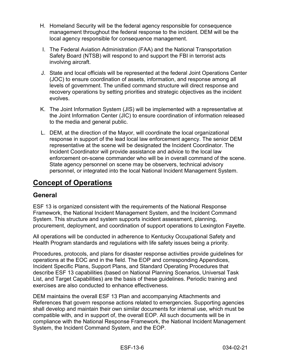- H. Homeland Security will be the federal agency responsible for consequence management throughout the federal response to the incident. DEM will be the local agency responsible for consequence management.
- I. The Federal Aviation Administration (FAA) and the National Transportation Safety Board (NTSB) will respond to and support the FBI in terrorist acts involving aircraft.
- J. State and local officials will be represented at the federal Joint Operations Center (JOC) to ensure coordination of assets, information, and response among all levels of government. The unified command structure will direct response and recovery operations by setting priorities and strategic objectives as the incident evolves.
- K. The Joint Information System (JIS) will be implemented with a representative at the Joint Information Center (JIC) to ensure coordination of information released to the media and general public.
- L. DEM, at the direction of the Mayor, will coordinate the local organizational response in support of the lead local law enforcement agency. The senior DEM representative at the scene will be designated the Incident Coordinator. The Incident Coordinator will provide assistance and advice to the local law enforcement on-scene commander who will be in overall command of the scene. State agency personnel on scene may be observers, technical advisory personnel, or integrated into the local National Incident Management System.

## <span id="page-6-0"></span>**Concept of Operations**

#### <span id="page-6-1"></span>**General**

ESF 13 is organized consistent with the requirements of the National Response Framework, the National Incident Management System, and the Incident Command System. This structure and system supports incident assessment, planning, procurement, deployment, and coordination of support operations to Lexington Fayette.

All operations will be conducted in adherence to Kentucky Occupational Safety and Health Program standards and regulations with life safety issues being a priority.

Procedures, protocols, and plans for disaster response activities provide guidelines for operations at the EOC and in the field. The EOP and corresponding Appendices, Incident Specific Plans, Support Plans, and Standard Operating Procedures that describe ESF 13 capabilities (based on National Planning Scenarios, Universal Task List, and Target Capabilities) are the basis of these guidelines. Periodic training and exercises are also conducted to enhance effectiveness.

DEM maintains the overall ESF 13 Plan and accompanying Attachments and References that govern response actions related to emergencies. Supporting agencies shall develop and maintain their own similar documents for internal use, which must be compatible with, and in support of, the overall EOP. All such documents will be in compliance with the National Response Framework, the National Incident Management System, the Incident Command System, and the EOP.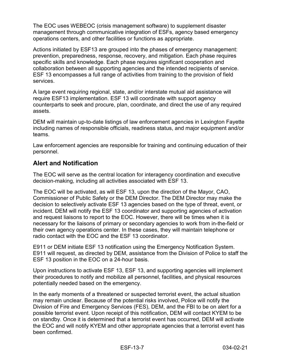The EOC uses WEBEOC (crisis management software) to supplement disaster management through communicative integration of ESFs, agency based emergency operations centers, and other facilities or functions as appropriate.

Actions initiated by ESF13 are grouped into the phases of emergency management: prevention, preparedness, response, recovery, and mitigation. Each phase requires specific skills and knowledge. Each phase requires significant cooperation and collaboration between all supporting agencies and the intended recipients of service. ESF 13 encompasses a full range of activities from training to the provision of field services.

A large event requiring regional, state, and/or interstate mutual aid assistance will require ESF13 implementation. ESF 13 will coordinate with support agency counterparts to seek and procure, plan, coordinate, and direct the use of any required assets.

DEM will maintain up-to-date listings of law enforcement agencies in Lexington Fayette including names of responsible officials, readiness status, and major equipment and/or teams.

Law enforcement agencies are responsible for training and continuing education of their personnel.

#### <span id="page-7-0"></span>**Alert and Notification**

The EOC will serve as the central location for interagency coordination and executive decision-making, including all activities associated with ESF 13.

The EOC will be activated, as will ESF 13, upon the direction of the Mayor, CAO, Commissioner of Public Safety or the DEM Director. The DEM Director may make the decision to selectively activate ESF 13 agencies based on the type of threat, event, or incident. DEM will notify the ESF 13 coordinator and supporting agencies of activation and request liaisons to report to the EOC. However, there will be times when it is necessary for the liaisons of primary or secondary agencies to work from in-the-field or their own agency operations center. In these cases, they will maintain telephone or radio contact with the EOC and the ESF 13 coordinator.

E911 or DEM initiate ESF 13 notification using the Emergency Notification System. E911 will request, as directed by DEM, assistance from the Division of Police to staff the ESF 13 position in the EOC on a 24-hour basis.

Upon instructions to activate ESF 13, ESF 13, and supporting agencies will implement their procedures to notify and mobilize all personnel, facilities, and physical resources potentially needed based on the emergency.

In the early moments of a threatened or suspected terrorist event, the actual situation may remain unclear. Because of the potential risks involved, Police will notify the Division of Fire and Emergency Services (FES), DEM, and the FBI to be on alert for a possible terrorist event. Upon receipt of this notification, DEM will contact KYEM to be on standby. Once it is determined that a terrorist event has occurred, DEM will activate the EOC and will notify KYEM and other appropriate agencies that a terrorist event has been confirmed.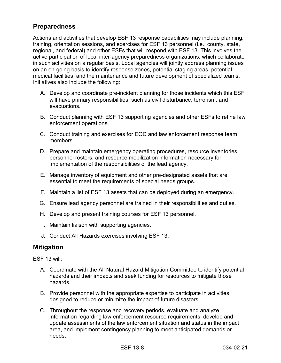#### <span id="page-8-0"></span>**Preparedness**

Actions and activities that develop ESF 13 response capabilities may include planning, training, orientation sessions, and exercises for ESF 13 personnel (i.e., county, state, regional, and federal) and other ESFs that will respond with ESF 13. This involves the active participation of local inter-agency preparedness organizations, which collaborate in such activities on a regular basis. Local agencies will jointly address planning issues on an on-going basis to identify response zones, potential staging areas, potential medical facilities, and the maintenance and future development of specialized teams. Initiatives also include the following:

- A. Develop and coordinate pre‐incident planning for those incidents which this ESF will have primary responsibilities, such as civil disturbance, terrorism, and evacuations.
- B. Conduct planning with ESF 13 supporting agencies and other ESFs to refine law enforcement operations.
- C. Conduct training and exercises for EOC and law enforcement response team members.
- D. Prepare and maintain emergency operating procedures, resource inventories, personnel rosters, and resource mobilization information necessary for implementation of the responsibilities of the lead agency.
- E. Manage inventory of equipment and other pre-designated assets that are essential to meet the requirements of special needs groups.
- F. Maintain a list of ESF 13 assets that can be deployed during an emergency.
- G. Ensure lead agency personnel are trained in their responsibilities and duties.
- H. Develop and present training courses for ESF 13 personnel.
- I. Maintain liaison with supporting agencies.
- J. Conduct All Hazards exercises involving ESF 13.

#### <span id="page-8-1"></span>**Mitigation**

ESF 13 will:

- A. Coordinate with the All Natural Hazard Mitigation Committee to identify potential hazards and their impacts and seek funding for resources to mitigate those hazards.
- B. Provide personnel with the appropriate expertise to participate in activities designed to reduce or minimize the impact of future disasters.
- C. Throughout the response and recovery periods, evaluate and analyze information regarding law enforcement resource requirements, develop and update assessments of the law enforcement situation and status in the impact area, and implement contingency planning to meet anticipated demands or needs.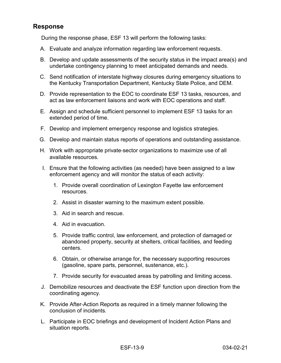#### <span id="page-9-0"></span>**Response**

During the response phase, ESF 13 will perform the following tasks:

- A. Evaluate and analyze information regarding law enforcement requests.
- B. Develop and update assessments of the security status in the impact area(s) and undertake contingency planning to meet anticipated demands and needs.
- C. Send notification of interstate highway closures during emergency situations to the Kentucky Transportation Department, Kentucky State Police, and DEM.
- D. Provide representation to the EOC to coordinate ESF 13 tasks, resources, and act as law enforcement liaisons and work with EOC operations and staff.
- E. Assign and schedule sufficient personnel to implement ESF 13 tasks for an extended period of time.
- F. Develop and implement emergency response and logistics strategies.
- G. Develop and maintain status reports of operations and outstanding assistance.
- H. Work with appropriate private‐sector organizations to maximize use of all available resources.
- I. Ensure that the following activities (as needed) have been assigned to a law enforcement agency and will monitor the status of each activity:
	- 1. Provide overall coordination of Lexington Fayette law enforcement resources.
	- 2. Assist in disaster warning to the maximum extent possible.
	- 3. Aid in search and rescue.
	- 4. Aid in evacuation.
	- 5. Provide traffic control, law enforcement, and protection of damaged or abandoned property, security at shelters, critical facilities, and feeding centers.
	- 6. Obtain, or otherwise arrange for, the necessary supporting resources (gasoline, spare parts, personnel, sustenance, etc.).
	- 7. Provide security for evacuated areas by patrolling and limiting access.
- J. Demobilize resources and deactivate the ESF function upon direction from the coordinating agency.
- K. Provide After‐Action Reports as required in a timely manner following the conclusion of incidents.
- L. Participate in EOC briefings and development of Incident Action Plans and situation reports.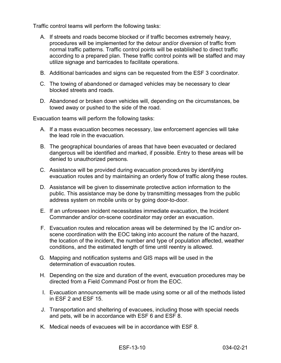Traffic control teams will perform the following tasks:

- A. If streets and roads become blocked or if traffic becomes extremely heavy, procedures will be implemented for the detour and/or diversion of traffic from normal traffic patterns. Traffic control points will be established to direct traffic according to a prepared plan. These traffic control points will be staffed and may utilize signage and barricades to facilitate operations.
- B. Additional barricades and signs can be requested from the ESF 3 coordinator.
- C. The towing of abandoned or damaged vehicles may be necessary to clear blocked streets and roads.
- D. Abandoned or broken down vehicles will, depending on the circumstances, be towed away or pushed to the side of the road.

Evacuation teams will perform the following tasks:

- A. If a mass evacuation becomes necessary, law enforcement agencies will take the lead role in the evacuation*.*
- B. The geographical boundaries of areas that have been evacuated or declared dangerous will be identified and marked, if possible. Entry to these areas will be denied to unauthorized persons.
- C. Assistance will be provided during evacuation procedures by identifying evacuation routes and by maintaining an orderly flow of traffic along these routes.
- D. Assistance will be given to disseminate protective action information to the public. This assistance may be done by transmitting messages from the public address system on mobile units or by going door-to-door.
- E. If an unforeseen incident necessitates immediate evacuation, the Incident Commander and/or on-scene coordinator may order an evacuation.
- F. Evacuation routes and relocation areas will be determined by the IC and/or onscene coordination with the EOC taking into account the nature of the hazard, the location of the incident, the number and type of population affected, weather conditions, and the estimated length of time until reentry is allowed.
- G. Mapping and notification systems and GIS maps will be used in the determination of evacuation routes.
- H. Depending on the size and duration of the event, evacuation procedures may be directed from a Field Command Post or from the EOC.
- I. Evacuation announcements will be made using some or all of the methods listed in ESF 2 and ESF 15.
- J. Transportation and sheltering of evacuees, including those with special needs and pets, will be in accordance with ESF 6 and ESF 8.
- K. Medical needs of evacuees will be in accordance with ESF 8.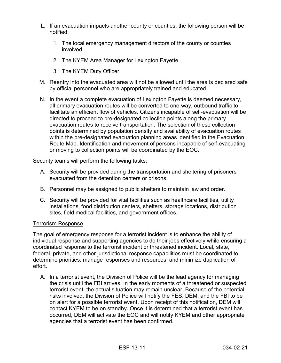- L. If an evacuation impacts another county or counties, the following person will be notified:
	- 1. The local emergency management directors of the county or counties involved.
	- 2. The KYEM Area Manager for Lexington Fayette
	- 3. The KYEM Duty Officer.
- M. Reentry into the evacuated area will not be allowed until the area is declared safe by official personnel who are appropriately trained and educated.
- N. In the event a complete evacuation of Lexington Fayette is deemed necessary, all primary evacuation routes will be converted to one-way, outbound traffic to facilitate an efficient flow of vehicles. Citizens incapable of self-evacuation will be directed to proceed to pre-designated collection points along the primary evacuation routes to receive transportation. The selection of these collection points is determined by population density and availability of evacuation routes within the pre-designated evacuation planning areas identified in the Evacuation Route Map. Identification and movement of persons incapable of self-evacuating or moving to collection points will be coordinated by the EOC.

Security teams will perform the following tasks:

- A. Security will be provided during the transportation and sheltering of prisoners evacuated from the detention centers or prisons.
- B. Personnel may be assigned to public shelters to maintain law and order.
- C. Security will be provided for vital facilities such as healthcare facilities, utility installations, food distribution centers, shelters, storage locations, distribution sites, field medical facilities, and government offices.

#### Terrorism Response

The goal of emergency response for a terrorist incident is to enhance the ability of individual response and supporting agencies to do their jobs effectively while ensuring a coordinated response to the terrorist incident or threatened incident. Local, state, federal, private, and other jurisdictional response capabilities must be coordinated to determine priorities, manage responses and resources, and minimize duplication of effort.

A. In a terrorist event, the Division of Police will be the lead agency for managing the crisis until the FBI arrives. In the early moments of a threatened or suspected terrorist event, the actual situation may remain unclear. Because of the potential risks involved, the Division of Police will notify the FES, DEM, and the FBI to be on alert for a possible terrorist event. Upon receipt of this notification, DEM will contact KYEM to be on standby. Once it is determined that a terrorist event has occurred, DEM will activate the EOC and will notify KYEM and other appropriate agencies that a terrorist event has been confirmed.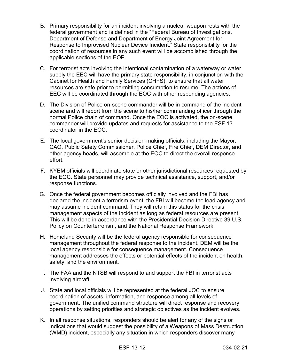- B. Primary responsibility for an incident involving a nuclear weapon rests with the federal government and is defined in the "Federal Bureau of Investigations, Department of Defense and Department of Energy Joint Agreement for Response to Improvised Nuclear Device Incident." State responsibility for the coordination of resources in any such event will be accomplished through the applicable sections of the EOP.
- C. For terrorist acts involving the intentional contamination of a waterway or water supply the EEC will have the primary state responsibility, in conjunction with the Cabinet for Health and Family Services (CHFS), to ensure that all water resources are safe prior to permitting consumption to resume. The actions of EEC will be coordinated through the EOC with other responding agencies.
- D. The Division of Police on-scene commander will be in command of the incident scene and will report from the scene to his/her commanding officer through the normal Police chain of command. Once the EOC is activated, the on-scene commander will provide updates and requests for assistance to the ESF 13 coordinator in the EOC.
- E. The local government's senior decision-making officials, including the Mayor, CAO, Public Safety Commissioner, Police Chief, Fire Chief, DEM Director, and other agency heads, will assemble at the EOC to direct the overall response effort.
- F. KYEM officials will coordinate state or other jurisdictional resources requested by the EOC. State personnel may provide technical assistance, support, and/or response functions.
- G. Once the federal government becomes officially involved and the FBI has declared the incident a terrorism event, the FBI will become the lead agency and may assume incident command. They will retain this status for the crisis management aspects of the incident as long as federal resources are present. This will be done in accordance with the Presidential Decision Directive 39 U.S. Policy on Counterterrorism, and the National Response Framework.
- H. Homeland Security will be the federal agency responsible for consequence management throughout the federal response to the incident. DEM will be the local agency responsible for consequence management. Consequence management addresses the effects or potential effects of the incident on health, safety, and the environment.
- I. The FAA and the NTSB will respond to and support the FBI in terrorist acts involving aircraft.
- J. State and local officials will be represented at the federal JOC to ensure coordination of assets, information, and response among all levels of government. The unified command structure will direct response and recovery operations by setting priorities and strategic objectives as the incident evolves.
- K. In all response situations, responders should be alert for any of the signs or indications that would suggest the possibility of a Weapons of Mass Destruction (WMD) incident, especially any situation in which responders discover many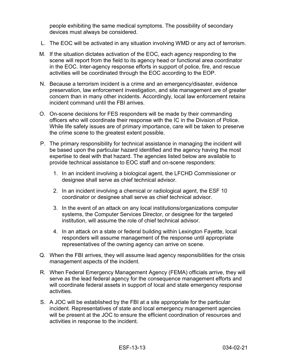people exhibiting the same medical symptoms. The possibility of secondary devices must always be considered.

- L. The EOC will be activated in any situation involving WMD or any act of terrorism.
- M. If the situation dictates activation of the EOC, each agency responding to the scene will report from the field to its agency head or functional area coordinator in the EOC. Inter-agency response efforts in support of police, fire, and rescue activities will be coordinated through the EOC according to the EOP.
- N. Because a terrorism incident is a crime and an emergency/disaster, evidence preservation, law enforcement investigation, and site management are of greater concern than in many other incidents. Accordingly, local law enforcement retains incident command until the FBI arrives.
- O. On-scene decisions for FES responders will be made by their commanding officers who will coordinate their response with the IC in the Division of Police. While life safety issues are of primary importance, care will be taken to preserve the crime scene to the greatest extent possible.
- P. The primary responsibility for technical assistance in managing the incident will be based upon the particular hazard identified and the agency having the most expertise to deal with that hazard. The agencies listed below are available to provide technical assistance to EOC staff and on-scene responders:
	- 1. In an incident involving a biological agent, the LFCHD Commissioner or designee shall serve as chief technical advisor.
	- 2. In an incident involving a chemical or radiological agent, the ESF 10 coordinator or designee shall serve as chief technical advisor.
	- 3. In the event of an attack on any local institutions/organizations computer systems, the Computer Services Director, or designee for the targeted institution, will assume the role of chief technical advisor.
	- 4. In an attack on a state or federal building within Lexington Fayette, local responders will assume management of the response until appropriate representatives of the owning agency can arrive on scene.
- Q. When the FBI arrives, they will assume lead agency responsibilities for the crisis management aspects of the incident.
- R. When Federal Emergency Management Agency (FEMA) officials arrive, they will serve as the lead federal agency for the consequence management efforts and will coordinate federal assets in support of local and state emergency response activities.
- S. A JOC will be established by the FBI at a site appropriate for the particular incident. Representatives of state and local emergency management agencies will be present at the JOC to ensure the efficient coordination of resources and activities in response to the incident.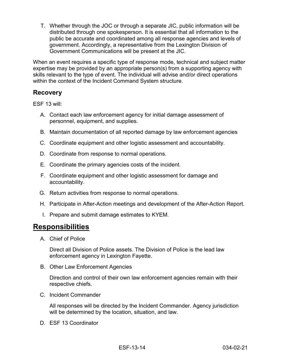T. Whether through the JOC or through a separate JIC, public information will be distributed through one spokesperson. It is essential that all information to the public be accurate and coordinated among all response agencies and levels of government. Accordingly, a representative from the Lexington Division of Government Communications will be present at the JIC.

When an event requires a specific type of response mode, technical and subject matter expertise may be provided by an appropriate person(s) from a supporting agency with skills relevant to the type of event. The individual will advise and/or direct operations within the context of the Incident Command System structure.

#### <span id="page-14-0"></span>**Recovery**

ESF 13 will:

- A. Contact each law enforcement agency for initial damage assessment of personnel, equipment, and supplies.
- B. Maintain documentation of all reported damage by law enforcement agencies
- C. Coordinate equipment and other logistic assessment and accountability.
- D. Coordinate from response to normal operations.
- E. Coordinate the primary agencies costs of the incident.
- F. Coordinate equipment and other logistic assessment for damage and accountability.
- G. Return activities from response to normal operations.
- H. Participate in After-Action meetings and development of the After-Action Report.
- I. Prepare and submit damage estimates to KYEM.

### <span id="page-14-1"></span>**Responsibilities**

A. Chief of Police

Direct all Division of Police assets. The Division of Police is the lead law enforcement agency in Lexington Fayette.

B. Other Law Enforcement Agencies

Direction and control of their own law enforcement agencies remain with their respective chiefs.

C. Incident Commander

All responses will be directed by the Incident Commander. Agency jurisdiction will be determined by the location, situation, and law.

D. ESF 13 Coordinator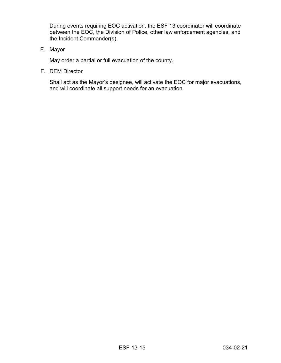During events requiring EOC activation, the ESF 13 coordinator will coordinate between the EOC, the Division of Police, other law enforcement agencies, and the Incident Commander(s).

E. Mayor

May order a partial or full evacuation of the county.

F. DEM Director

Shall act as the Mayor's designee, will activate the EOC for major evacuations, and will coordinate all support needs for an evacuation.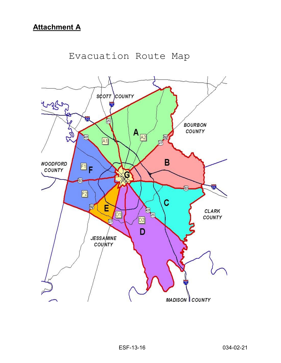<span id="page-16-0"></span>

## Evacuation Route Map